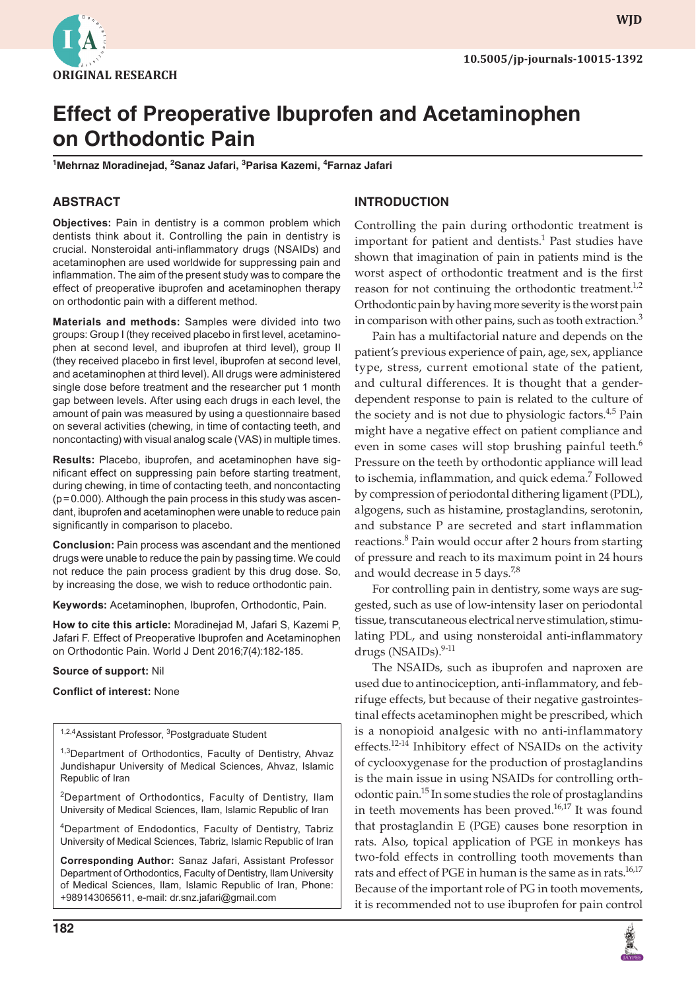

**wjd**

# **Effect of Preoperative Ibuprofen and Acetaminophen on Orthodontic Pain**

**1 Mehrnaz Moradinejad, 2 Sanaz Jafari, <sup>3</sup> Parisa Kazemi, <sup>4</sup> Farnaz Jafari**

# **ABSTRACT**

**Objectives:** Pain in dentistry is a common problem which dentists think about it. Controlling the pain in dentistry is crucial. Nonsteroidal anti-inflammatory drugs (NSAIDs) and acetaminophen are used worldwide for suppressing pain and inflammation. The aim of the present study was to compare the effect of preoperative ibuprofen and acetaminophen therapy on orthodontic pain with a different method.

**Materials and methods:** Samples were divided into two groups: Group I (they received placebo in first level, acetaminophen at second level, and ibuprofen at third level), group II (they received placebo in first level, ibuprofen at second level, and acetaminophen at third level). All drugs were administered single dose before treatment and the researcher put 1 month gap between levels. After using each drugs in each level, the amount of pain was measured by using a questionnaire based on several activities (chewing, in time of contacting teeth, and noncontacting) with visual analog scale (VAS) in multiple times.

**Results:** Placebo, ibuprofen, and acetaminophen have significant effect on suppressing pain before starting treatment, during chewing, in time of contacting teeth, and noncontacting (p=0.000). Although the pain process in this study was ascendant, ibuprofen and acetaminophen were unable to reduce pain significantly in comparison to placebo.

**Conclusion:** Pain process was ascendant and the mentioned drugs were unable to reduce the pain by passing time. We could not reduce the pain process gradient by this drug dose. So, by increasing the dose, we wish to reduce orthodontic pain.

**Keywords:** Acetaminophen, Ibuprofen, Orthodontic, Pain.

**How to cite this article:** Moradinejad M, Jafari S, Kazemi P, Jafari F. Effect of Preoperative Ibuprofen and Acetaminophen on Orthodontic Pain. World J Dent 2016;7(4):182-185.

### **Source of support:** Nil

**Conflict of interest:** None

<sup>1,2,4</sup>Assistant Professor, <sup>3</sup>Postgraduate Student

<sup>1,3</sup>Department of Orthodontics, Faculty of Dentistry, Ahvaz Jundishapur University of Medical Sciences, Ahvaz, Islamic Republic of Iran

2Department of Orthodontics, Faculty of Dentistry, Ilam University of Medical Sciences, Ilam, Islamic Republic of Iran

4Department of Endodontics, Faculty of Dentistry, Tabriz University of Medical Sciences, Tabriz, Islamic Republic of Iran

**Corresponding Author:** Sanaz Jafari, Assistant Professor Department of Orthodontics, Faculty of Dentistry, Ilam University of Medical Sciences, Ilam, Islamic Republic of Iran, Phone: +989143065611, e-mail: dr.snz.jafari@gmail.com

# **INTRODUCTION**

Controlling the pain during orthodontic treatment is important for patient and dentists.<sup>1</sup> Past studies have shown that imagination of pain in patients mind is the worst aspect of orthodontic treatment and is the first reason for not continuing the orthodontic treatment. $1,2$ Orthodontic pain by having more severity is the worst pain in comparison with other pains, such as tooth extraction. $3$ 

Pain has a multifactorial nature and depends on the patient's previous experience of pain, age, sex, appliance type, stress, current emotional state of the patient, and cultural differences. It is thought that a genderdependent response to pain is related to the culture of the society and is not due to physiologic factors. $4.5$  Pain might have a negative effect on patient compliance and even in some cases will stop brushing painful teeth.<sup>6</sup> Pressure on the teeth by orthodontic appliance will lead to ischemia, inflammation, and quick edema.<sup>7</sup> Followed by compression of periodontal dithering ligament (PDL), algogens, such as histamine, prostaglandins, serotonin, and substance P are secreted and start inflammation reactions.<sup>8</sup> Pain would occur after 2 hours from starting of pressure and reach to its maximum point in 24 hours and would decrease in 5 days.<sup>7,8</sup>

For controlling pain in dentistry, some ways are suggested, such as use of low-intensity laser on periodontal tissue, transcutaneous electrical nerve stimulation, stimulating PDL, and using nonsteroidal anti-inflammatory drugs (NSAIDs).<sup>9-11</sup>

The NSAIDs, such as ibuprofen and naproxen are used due to antinociception, anti-inflammatory, and febrifuge effects, but because of their negative gastrointestinal effects acetaminophen might be prescribed, which is a nonopioid analgesic with no anti-inflammatory effects.<sup>12-14</sup> Inhibitory effect of NSAIDs on the activity of cyclooxygenase for the production of prostaglandins is the main issue in using NSAIDs for controlling orthodontic pain.15 In some studies the role of prostaglandins in teeth movements has been proved. $16,17$  It was found that prostaglandin E (PGE) causes bone resorption in rats. Also, topical application of PGE in monkeys has two-fold effects in controlling tooth movements than rats and effect of PGE in human is the same as in rats.<sup>16,17</sup> Because of the important role of PG in tooth movements, it is recommended not to use ibuprofen for pain control

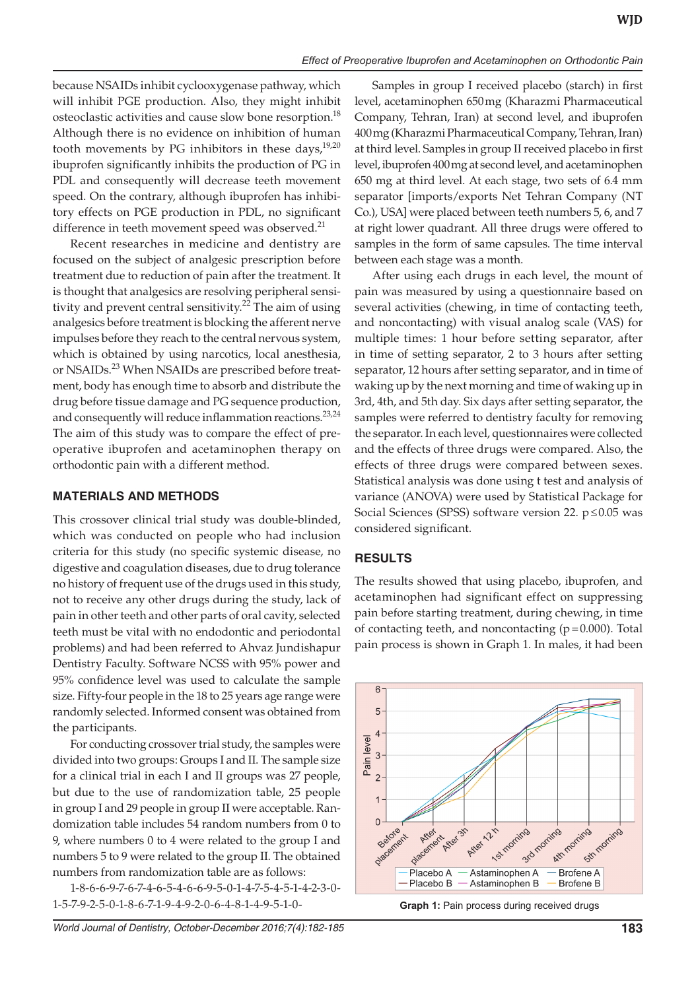because NSAIDs inhibit cyclooxygenase pathway, which will inhibit PGE production. Also, they might inhibit osteoclastic activities and cause slow bone resorption.<sup>18</sup> Although there is no evidence on inhibition of human tooth movements by PG inhibitors in these days, $19,20$ ibuprofen significantly inhibits the production of PG in PDL and consequently will decrease teeth movement speed. On the contrary, although ibuprofen has inhibitory effects on PGE production in PDL, no significant difference in teeth movement speed was observed.<sup>21</sup>

Recent researches in medicine and dentistry are focused on the subject of analgesic prescription before treatment due to reduction of pain after the treatment. It is thought that analgesics are resolving peripheral sensitivity and prevent central sensitivity.<sup>22</sup> The aim of using analgesics before treatment is blocking the afferent nerve impulses before they reach to the central nervous system, which is obtained by using narcotics, local anesthesia, or NSAIDs.<sup>23</sup> When NSAIDs are prescribed before treatment, body has enough time to absorb and distribute the drug before tissue damage and PG sequence production, and consequently will reduce inflammation reactions.<sup>23,24</sup> The aim of this study was to compare the effect of preoperative ibuprofen and acetaminophen therapy on orthodontic pain with a different method.

## **MATERIALS AND METHODS**

This crossover clinical trial study was double-blinded, which was conducted on people who had inclusion criteria for this study (no specific systemic disease, no digestive and coagulation diseases, due to drug tolerance no history of frequent use of the drugs used in this study, not to receive any other drugs during the study, lack of pain in other teeth and other parts of oral cavity, selected teeth must be vital with no endodontic and periodontal problems) and had been referred to Ahvaz Jundishapur Dentistry Faculty. Software NCSS with 95% power and 95% confidence level was used to calculate the sample size. Fifty-four people in the 18 to 25 years age range were randomly selected. Informed consent was obtained from the participants.

For conducting crossover trial study, the samples were divided into two groups: Groups I and II. The sample size for a clinical trial in each I and II groups was 27 people, but due to the use of randomization table, 25 people in group I and 29 people in group II were acceptable. Randomization table includes 54 random numbers from 0 to 9, where numbers 0 to 4 were related to the group I and numbers 5 to 9 were related to the group II. The obtained numbers from randomization table are as follows:

1-8-6-6-9-7-6-7-4-6-5-4-6-6-9-5-0-1-4-7-5-4-5-1-4-2-3-0- 1-5-7-9-2-5-0-1-8-6-7-1-9-4-9-2-0-6-4-8-1-4-9-5-1-0-

Samples in group I received placebo (starch) in first level, acetaminophen 650mg (Kharazmi Pharmaceutical Company, Tehran, Iran) at second level, and ibuprofen 400mg (Kharazmi Pharmaceutical Company, Tehran, Iran) at third level. Samples in group II received placebo in first level, ibuprofen 400mg at second level, and acetaminophen 650 mg at third level. At each stage, two sets of 6.4 mm separator [imports/exports Net Tehran Company (NT Co.), USA] were placed between teeth numbers 5, 6, and 7 at right lower quadrant. All three drugs were offered to samples in the form of same capsules. The time interval between each stage was a month.

After using each drugs in each level, the mount of pain was measured by using a questionnaire based on several activities (chewing, in time of contacting teeth, and noncontacting) with visual analog scale (VAS) for multiple times: 1 hour before setting separator, after in time of setting separator, 2 to 3 hours after setting separator, 12 hours after setting separator, and in time of waking up by the next morning and time of waking up in 3rd, 4th, and 5th day. Six days after setting separator, the samples were referred to dentistry faculty for removing the separator. In each level, questionnaires were collected and the effects of three drugs were compared. Also, the effects of three drugs were compared between sexes. Statistical analysis was done using t test and analysis of variance (ANOVA) were used by Statistical Package for Social Sciences (SPSS) software version 22. p≤0.05 was considered significant.

# **RESULTS**

The results showed that using placebo, ibuprofen, and acetaminophen had significant effect on suppressing pain before starting treatment, during chewing, in time of contacting teeth, and noncontacting  $(p=0.000)$ . Total pain process is shown in Graph 1. In males, it had been



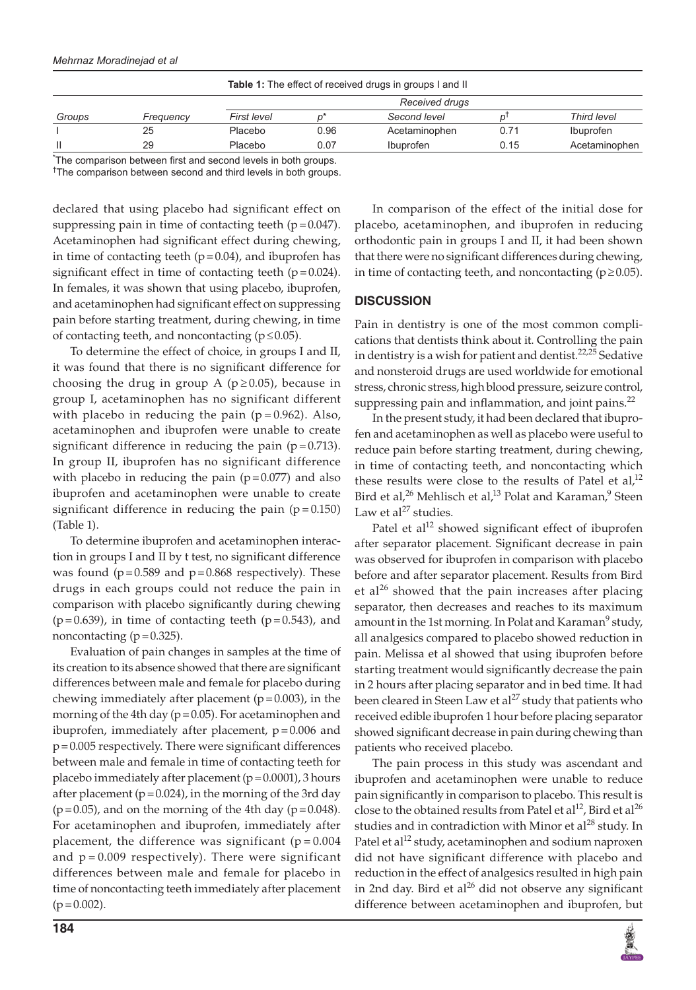### *Mehrnaz Moradinejad et al*

| <b>Table 1:</b> The effect of received drugs in groups I and II |                                                                       |                |      |                  |      |               |
|-----------------------------------------------------------------|-----------------------------------------------------------------------|----------------|------|------------------|------|---------------|
| Groups                                                          | Frequency                                                             | Received drugs |      |                  |      |               |
|                                                                 |                                                                       | First level    |      | Second level     |      | Third level   |
|                                                                 | 25                                                                    | Placebo        | 0.96 | Acetaminophen    | 0.71 | Ibuprofen     |
|                                                                 | 29                                                                    | Placebo        | 0.07 | <b>Ibuprofen</b> | 0.15 | Acetaminophen |
|                                                                 | The communication between Cost and account here in the best and money |                |      |                  |      |               |

\* The comparison between first and second levels in both groups. † The comparison between second and third levels in both groups.

declared that using placebo had significant effect on suppressing pain in time of contacting teeth  $(p=0.047)$ . Acetaminophen had significant effect during chewing, in time of contacting teeth  $(p=0.04)$ , and ibuprofen has significant effect in time of contacting teeth  $(p=0.024)$ . In females, it was shown that using placebo, ibuprofen, and acetaminophen had significant effect on suppressing pain before starting treatment, during chewing, in time of contacting teeth, and noncontacting ( $p \le 0.05$ ).

To determine the effect of choice, in groups I and II, it was found that there is no significant difference for choosing the drug in group A ( $p \ge 0.05$ ), because in group I, acetaminophen has no significant different with placebo in reducing the pain  $(p=0.962)$ . Also, acetaminophen and ibuprofen were unable to create significant difference in reducing the pain  $(p=0.713)$ . In group II, ibuprofen has no significant difference with placebo in reducing the pain  $(p=0.077)$  and also ibuprofen and acetaminophen were unable to create significant difference in reducing the pain  $(p = 0.150)$ (Table 1).

To determine ibuprofen and acetaminophen interaction in groups I and II by t test, no significant difference was found ( $p=0.589$  and  $p=0.868$  respectively). These drugs in each groups could not reduce the pain in comparison with placebo significantly during chewing  $(p=0.639)$ , in time of contacting teeth  $(p=0.543)$ , and noncontacting  $(p=0.325)$ .

Evaluation of pain changes in samples at the time of its creation to its absence showed that there are significant differences between male and female for placebo during chewing immediately after placement ( $p=0.003$ ), in the morning of the 4th day ( $p = 0.05$ ). For acetaminophen and ibuprofen, immediately after placement,  $p = 0.006$  and p=0.005 respectively. There were significant differences between male and female in time of contacting teeth for placebo immediately after placement ( $p=0.0001$ ), 3 hours after placement ( $p=0.024$ ), in the morning of the 3rd day  $(p=0.05)$ , and on the morning of the 4th day  $(p=0.048)$ . For acetaminophen and ibuprofen, immediately after placement, the difference was significant ( $p = 0.004$ ) and  $p = 0.009$  respectively). There were significant differences between male and female for placebo in time of noncontacting teeth immediately after placement  $(p=0.002)$ .

In comparison of the effect of the initial dose for placebo, acetaminophen, and ibuprofen in reducing orthodontic pain in groups I and II, it had been shown that there were no significant differences during chewing, in time of contacting teeth, and noncontacting ( $p \ge 0.05$ ).

## **DISCUSSION**

Pain in dentistry is one of the most common complications that dentists think about it. Controlling the pain in dentistry is a wish for patient and dentist.<sup>22,25</sup> Sedative and nonsteroid drugs are used worldwide for emotional stress, chronic stress, high blood pressure, seizure control, suppressing pain and inflammation, and joint pains. $^{22}$ 

In the present study, it had been declared that ibuprofen and acetaminophen as well as placebo were useful to reduce pain before starting treatment, during chewing, in time of contacting teeth, and noncontacting which these results were close to the results of Patel et  $al$ ,<sup>12</sup> Bird et al,<sup>26</sup> Mehlisch et al,<sup>13</sup> Polat and Karaman,<sup>9</sup> Steen Law et al $^{27}$  studies.

Patel et al<sup>12</sup> showed significant effect of ibuprofen after separator placement. Significant decrease in pain was observed for ibuprofen in comparison with placebo before and after separator placement. Results from Bird et al<sup>26</sup> showed that the pain increases after placing separator, then decreases and reaches to its maximum amount in the 1st morning. In Polat and Karaman $^9$  study, all analgesics compared to placebo showed reduction in pain. Melissa et al showed that using ibuprofen before starting treatment would significantly decrease the pain in 2 hours after placing separator and in bed time. It had been cleared in Steen Law et al<sup>27</sup> study that patients who received edible ibuprofen 1 hour before placing separator showed significant decrease in pain during chewing than patients who received placebo.

The pain process in this study was ascendant and ibuprofen and acetaminophen were unable to reduce pain significantly in comparison to placebo. This result is close to the obtained results from Patel et  $al^{12}$ , Bird et  $al^{26}$ studies and in contradiction with Minor et al $^{28}$  study. In Patel et al<sup>12</sup> study, acetaminophen and sodium naproxen did not have significant difference with placebo and reduction in the effect of analgesics resulted in high pain in 2nd day. Bird et al<sup>26</sup> did not observe any significant difference between acetaminophen and ibuprofen, but